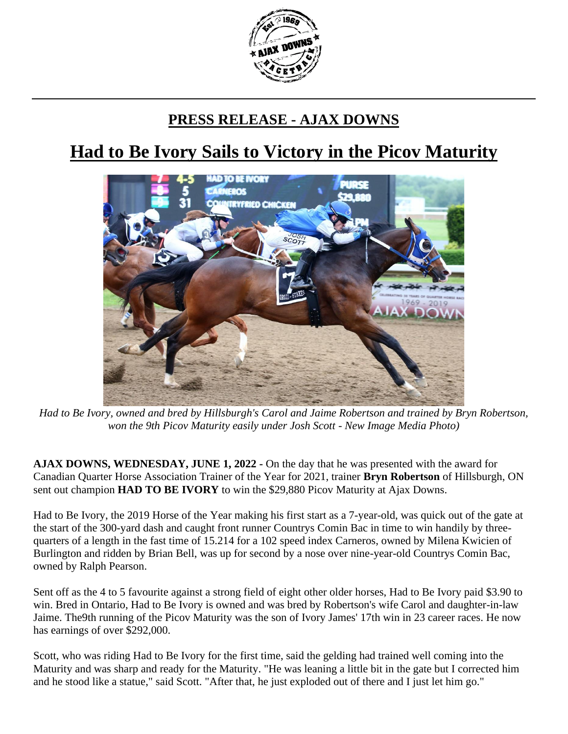

## **PRESS RELEASE - AJAX DOWNS**

## **Had to Be Ivory Sails to Victory in the Picov Maturity**



*Had to Be Ivory, owned and bred by Hillsburgh's Carol and Jaime Robertson and trained by Bryn Robertson, won the 9th Picov Maturity easily under Josh Scott - New Image Media Photo)*

**AJAX DOWNS, WEDNESDAY, JUNE 1, 2022 -** On the day that he was presented with the award for Canadian Quarter Horse Association Trainer of the Year for 2021, trainer **Bryn Robertson** of Hillsburgh, ON sent out champion **HAD TO BE IVORY** to win the \$29,880 Picov Maturity at Ajax Downs.

Had to Be Ivory, the 2019 Horse of the Year making his first start as a 7-year-old, was quick out of the gate at the start of the 300-yard dash and caught front runner Countrys Comin Bac in time to win handily by threequarters of a length in the fast time of 15.214 for a 102 speed index Carneros, owned by Milena Kwicien of Burlington and ridden by Brian Bell, was up for second by a nose over nine-year-old Countrys Comin Bac, owned by Ralph Pearson.

Sent off as the 4 to 5 favourite against a strong field of eight other older horses, Had to Be Ivory paid \$3.90 to win. Bred in Ontario, Had to Be Ivory is owned and was bred by Robertson's wife Carol and daughter-in-law Jaime. The9th running of the Picov Maturity was the son of Ivory James' 17th win in 23 career races. He now has earnings of over \$292,000.

Scott, who was riding Had to Be Ivory for the first time, said the gelding had trained well coming into the Maturity and was sharp and ready for the Maturity. "He was leaning a little bit in the gate but I corrected him and he stood like a statue," said Scott. "After that, he just exploded out of there and I just let him go."